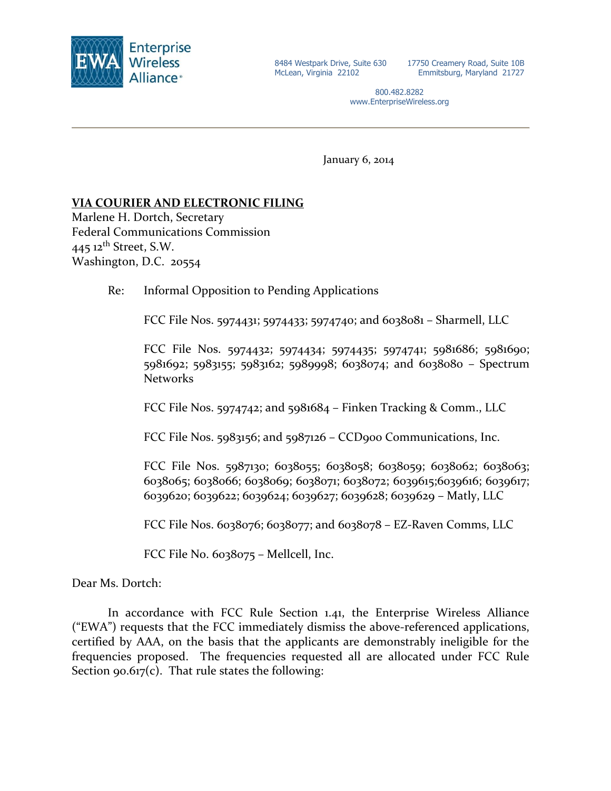

17750 Creamery Road, Suite 10B Emmitsburg, Maryland 21727

800.482.8282 www.EnterpriseWireless.org

January 6, 2014

# **VIA COURIER AND ELECTRONIC FILING**

Marlene H. Dortch, Secretary Federal Communications Commission 445 12<sup>th</sup> Street, S.W. Washington, D.C. 20554

Re: Informal Opposition to Pending Applications

FCC File Nos. 5974431; 5974433; 5974740; and 6038081 – Sharmell, LLC

FCC File Nos. 5974432; 5974434; 5974435; 5974741; 5981686; 5981690; 5981692; 5983155; 5983162; 5989998; 6038074; and 6038080 – Spectrum Networks

FCC File Nos. 5974742; and 5981684 – Finken Tracking & Comm., LLC

FCC File Nos. 5983156; and 5987126 – CCD900 Communications, Inc.

FCC File Nos. 5987130; 6038055; 6038058; 6038059; 6038062; 6038063; 6038065; 6038066; 6038069; 6038071; 6038072; 6039615;6039616; 6039617; 6039620; 6039622; 6039624; 6039627; 6039628; 6039629 – Matly, LLC

FCC File Nos. 6038076; 6038077; and 6038078 – EZ-Raven Comms, LLC

FCC File No. 6038075 – Mellcell, Inc.

Dear Ms. Dortch:

In accordance with FCC Rule Section 1.41, the Enterprise Wireless Alliance ("EWA") requests that the FCC immediately dismiss the above-referenced applications, certified by AAA, on the basis that the applicants are demonstrably ineligible for the frequencies proposed. The frequencies requested all are allocated under FCC Rule Section  $90.617(c)$ . That rule states the following: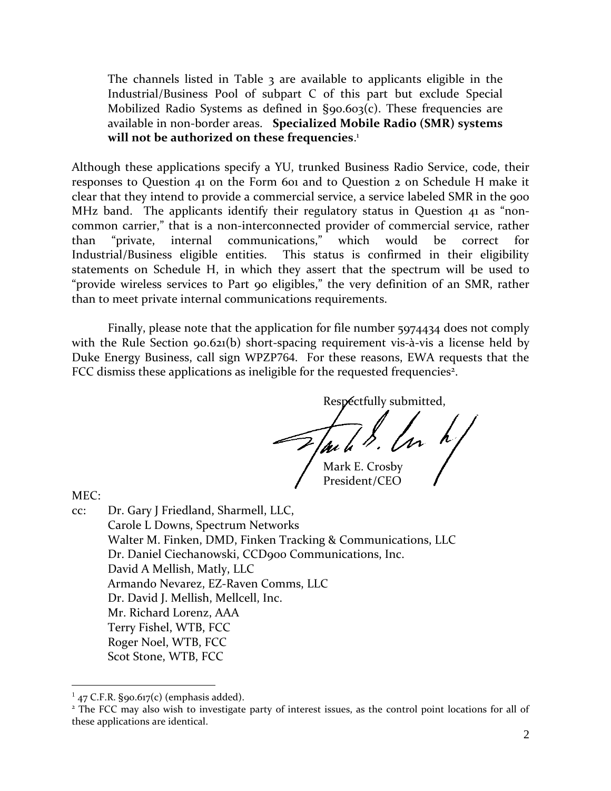The channels listed in Table 3 are available to applicants eligible in the Industrial/Business Pool of [subpart C](http://telecomlaw.bna.com/terc/display/link_res.adp?fedfid=18137003&fname=cfr_47_90_spc&vname=comrgeref100) of this part but exclude Special Mobilized Radio Systems as defined in [§90.603\(c\).](http://telecomlaw.bna.com/terc/display/link_res.adp?fedfid=18137003&fname=cfr_47_90_603_c_&vname=comrgeref100) These frequencies are available in non-border areas. **Specialized Mobile Radio (SMR) systems will not be authorized on these frequencies**. 1

Although these applications specify a YU, trunked Business Radio Service, code, their responses to Question 41 on the Form 601 and to Question 2 on Schedule H make it clear that they intend to provide a commercial service, a service labeled SMR in the 900 MHz band. The applicants identify their regulatory status in Question 41 as "noncommon carrier," that is a non-interconnected provider of commercial service, rather than "private, internal communications," which would be correct for Industrial/Business eligible entities. This status is confirmed in their eligibility statements on Schedule H, in which they assert that the spectrum will be used to "provide wireless services to Part 90 eligibles," the very definition of an SMR, rather than to meet private internal communications requirements.

Finally, please note that the application for file number 5974434 does not comply with the Rule Section 90.621(b) short-spacing requirement vis-à-vis a license held by Duke Energy Business, call sign WPZP764. For these reasons, EWA requests that the FCC dismiss these applications as ineligible for the requested frequencies<sup>2</sup>.

> Respectfully submitted,  $\mathcal{F}$ au le B. Con  $h$ President/CEO

MEC:

 $\overline{a}$ 

cc: Dr. Gary J Friedland, Sharmell, LLC, Carole L Downs, Spectrum Networks Walter M. Finken, DMD, Finken Tracking & Communications, LLC Dr. Daniel Ciechanowski, CCD900 Communications, Inc. David A Mellish, Matly, LLC Armando Nevarez, EZ-Raven Comms, LLC Dr. David J. Mellish, Mellcell, Inc. Mr. Richard Lorenz, AAA Terry Fishel, WTB, FCC Roger Noel, WTB, FCC Scot Stone, WTB, FCC

 $147$  C.F.R. §90.617(c) (emphasis added).

<sup>&</sup>lt;sup>2</sup> The FCC may also wish to investigate party of interest issues, as the control point locations for all of these applications are identical.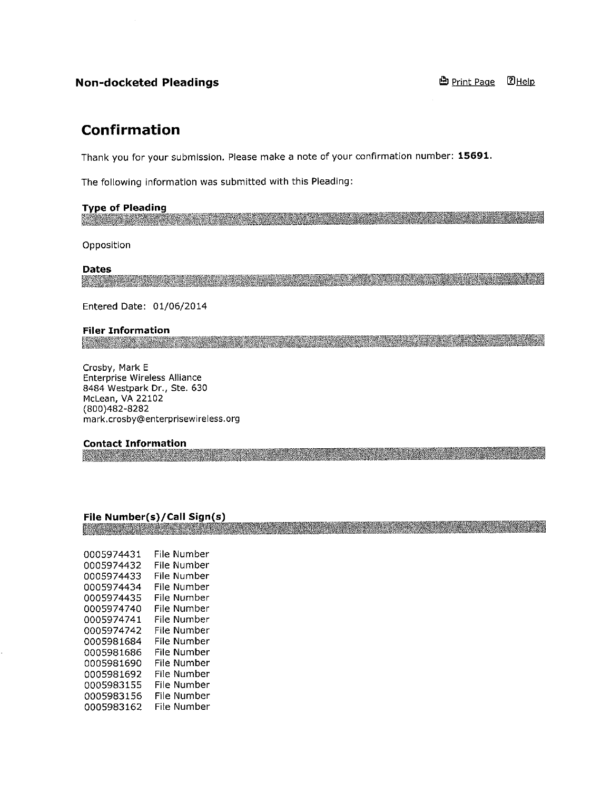# **Non-docketed Pleadings**

## **D** Print Page 2Help

# **Confirmation**

Thank you for your submission. Please make a note of your confirmation number: 15691.

The following information was submitted with this Pleading:

## **Type of Pleading**

Opposition

#### **Dates**

<u> De la construcción de la construcción de la construcción de la construcción de la construcción de la construcción de la construcción de la construcción de la construcción de la construcción de la construcción de la const</u>

<u> Alexandria (Alexandria (Alexandria (Alexandria (Alexandria (Alexandria (Alexandria (Alexandria (Alexandria (</u>

Entered Date: 01/06/2014

### **Filer Information**

Crosby, Mark E Enterprise Wireless Alliance 8484 Westpark Dr., Ste. 630 McLean, VA 22102 (800)482-8282 mark.crosby@enterprisewireless.org

## **Contact Information**

<u> Karl Germany (Karl Germany Star)</u>

## File Number(s)/Call Sign(s)

<u> Evangelin i Samuel Santa Santa Santa Santa Santa Santa Santa Santa Santa Santa Santa Santa Santa Santa Santa San</u>

| 0005974431 | File Number |
|------------|-------------|
| 0005974432 | File Number |
| 0005974433 | File Number |
| 0005974434 | File Number |
| 0005974435 | File Number |
| 0005974740 | File Number |
| 0005974741 | File Number |
| 0005974742 | File Number |
| 0005981684 | File Number |
| 0005981686 | File Number |
| 0005981690 | File Number |
| 0005981692 | File Number |
| 0005983155 | File Number |
| 0005983156 | File Number |
| 0005983162 | File Number |